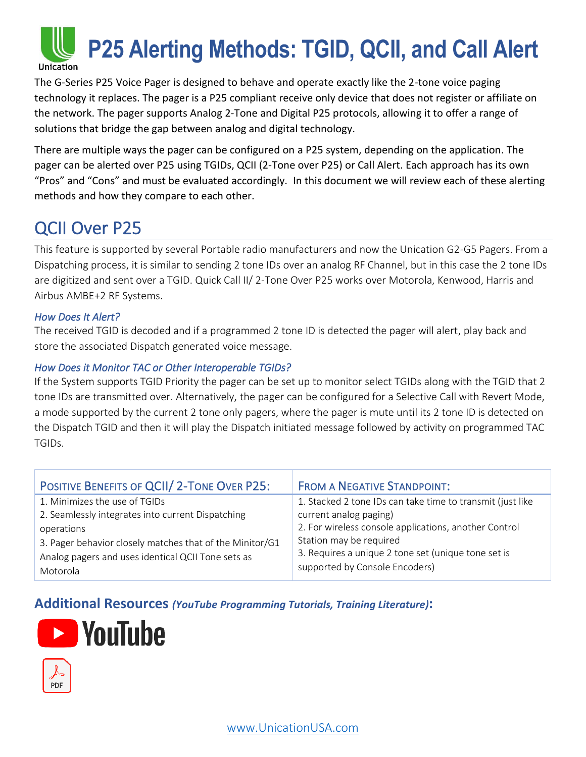

The G-Series P25 Voice Pager is designed to behave and operate exactly like the 2-tone voice paging technology it replaces. The pager is a P25 compliant receive only device that does not register or affiliate on the network. The pager supports Analog 2-Tone and Digital P25 protocols, allowing it to offer a range of solutions that bridge the gap between analog and digital technology.

There are multiple ways the pager can be configured on a P25 system, depending on the application. The pager can be alerted over P25 using TGIDs, QCII (2-Tone over P25) or Call Alert. Each approach has its own "Pros" and "Cons" and must be evaluated accordingly. In this document we will review each of these alerting methods and how they compare to each other.

## QCII Over P25

This feature is supported by several Portable radio manufacturers and now the Unication G2-G5 Pagers. From a Dispatching process, it is similar to sending 2 tone IDs over an analog RF Channel, but in this case the 2 tone IDs are digitized and sent over a TGID. Quick Call II/ 2-Tone Over P25 works over Motorola, Kenwood, Harris and Airbus AMBE+2 RF Systems.

#### *How Does It Alert?*

The received TGID is decoded and if a programmed 2 tone ID is detected the pager will alert, play back and store the associated Dispatch generated voice message.

#### *How Does it Monitor TAC or Other Interoperable TGIDs?*

If the System supports TGID Priority the pager can be set up to monitor select TGIDs along with the TGID that 2 tone IDs are transmitted over. Alternatively, the pager can be configured for a Selective Call with Revert Mode, a mode supported by the current 2 tone only pagers, where the pager is mute until its 2 tone ID is detected on the Dispatch TGID and then it will play the Dispatch initiated message followed by activity on programmed TAC TGIDs.

| POSITIVE BENEFITS OF QCII/ 2-TONE OVER P25:              | <b>FROM A NEGATIVE STANDPOINT:</b>                         |
|----------------------------------------------------------|------------------------------------------------------------|
| 1. Minimizes the use of TGIDs                            | 1. Stacked 2 tone IDs can take time to transmit (just like |
| 2. Seamlessly integrates into current Dispatching        | current analog paging)                                     |
| operations                                               | 2. For wireless console applications, another Control      |
| 3. Pager behavior closely matches that of the Minitor/G1 | Station may be required                                    |
| Analog pagers and uses identical QCII Tone sets as       | 3. Requires a unique 2 tone set (unique tone set is        |
| Motorola                                                 | supported by Console Encoders)                             |

### **Additional Resources** *(YouTube Programming Tutorials, Training Literature)***:**



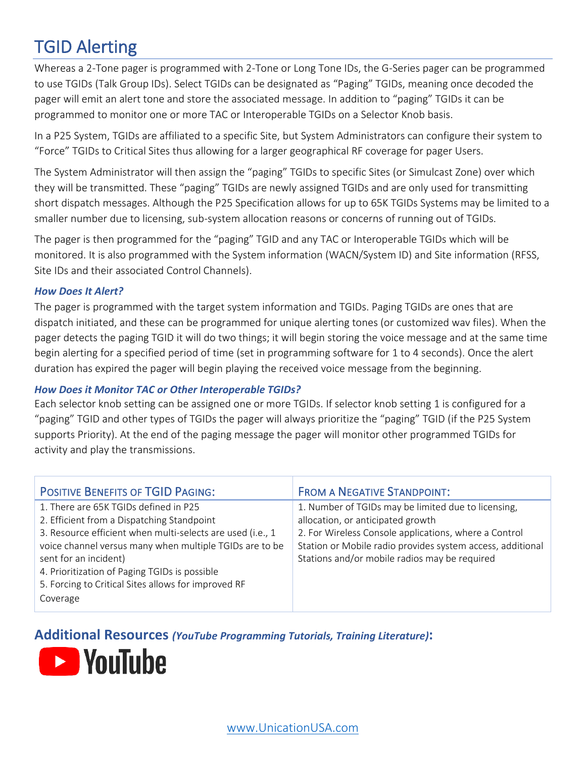## TGID Alerting

Whereas a 2-Tone pager is programmed with 2-Tone or Long Tone IDs, the G-Series pager can be programmed to use TGIDs (Talk Group IDs). Select TGIDs can be designated as "Paging" TGIDs, meaning once decoded the pager will emit an alert tone and store the associated message. In addition to "paging" TGIDs it can be programmed to monitor one or more TAC or Interoperable TGIDs on a Selector Knob basis.

In a P25 System, TGIDs are affiliated to a specific Site, but System Administrators can configure their system to "Force" TGIDs to Critical Sites thus allowing for a larger geographical RF coverage for pager Users.

The System Administrator will then assign the "paging" TGIDs to specific Sites (or Simulcast Zone) over which they will be transmitted. These "paging" TGIDs are newly assigned TGIDs and are only used for transmitting short dispatch messages. Although the P25 Specification allows for up to 65K TGIDs Systems may be limited to a smaller number due to licensing, sub-system allocation reasons or concerns of running out of TGIDs.

The pager is then programmed for the "paging" TGID and any TAC or Interoperable TGIDs which will be monitored. It is also programmed with the System information (WACN/System ID) and Site information (RFSS, Site IDs and their associated Control Channels).

#### *How Does It Alert?*

The pager is programmed with the target system information and TGIDs. Paging TGIDs are ones that are dispatch initiated, and these can be programmed for unique alerting tones (or customized wav files). When the pager detects the paging TGID it will do two things; it will begin storing the voice message and at the same time begin alerting for a specified period of time (set in programming software for 1 to 4 seconds). Once the alert duration has expired the pager will begin playing the received voice message from the beginning.

#### *How Does it Monitor TAC or Other Interoperable TGIDs?*

Each selector knob setting can be assigned one or more TGIDs. If selector knob setting 1 is configured for a "paging" TGID and other types of TGIDs the pager will always prioritize the "paging" TGID (if the P25 System supports Priority). At the end of the paging message the pager will monitor other programmed TGIDs for activity and play the transmissions.

| <b>POSITIVE BENEFITS OF TGID PAGING:</b>                                                                                                                                                                                                                                                                                                                  | <b>FROM A NEGATIVE STANDPOINT:</b>                                                                                                                                                                                                                               |
|-----------------------------------------------------------------------------------------------------------------------------------------------------------------------------------------------------------------------------------------------------------------------------------------------------------------------------------------------------------|------------------------------------------------------------------------------------------------------------------------------------------------------------------------------------------------------------------------------------------------------------------|
| 1. There are 65K TGIDs defined in P25<br>2. Efficient from a Dispatching Standpoint<br>3. Resource efficient when multi-selects are used (i.e., 1<br>voice channel versus many when multiple TGIDs are to be<br>sent for an incident)<br>4. Prioritization of Paging TGIDs is possible<br>5. Forcing to Critical Sites allows for improved RF<br>Coverage | 1. Number of TGIDs may be limited due to licensing,<br>allocation, or anticipated growth<br>2. For Wireless Console applications, where a Control<br>Station or Mobile radio provides system access, additional<br>Stations and/or mobile radios may be required |

**Additional Resources** *(YouTube Programming Tutorials, Training Literature)***:**

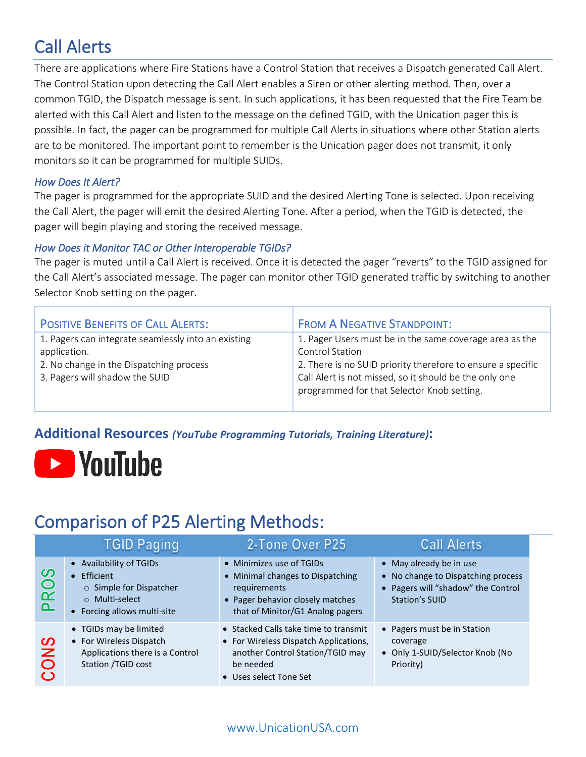# Call Alerts

There are applications where Fire Stations have a Control Station that receives a Dispatch generated Call Alert. The Control Station upon detecting the Call Alert enables a Siren or other alerting method. Then, over a common TGID, the Dispatch message is sent. In such applications, it has been requested that the Fire Team be alerted with this Call Alert and listen to the message on the defined TGID, with the Unication pager this is possible. In fact, the pager can be programmed for multiple Call Alerts in situations where other Station alerts are to be monitored. The important point to remember is the Unication pager does not transmit, it only monitors so it can be programmed for multiple SUIDs.

#### *How Does It Alert?*

The pager is programmed for the appropriate SUID and the desired Alerting Tone is selected. Upon receiving the Call Alert, the pager will emit the desired Alerting Tone. After a period, when the TGID is detected, the pager will begin playing and storing the received message.

#### *How Does it Monitor TAC or Other Interoperable TGIDs?*

The pager is muted until a Call Alert is received. Once it is detected the pager "reverts" to the TGID assigned for the Call Alert's associated message. The pager can monitor other TGID generated traffic by switching to another Selector Knob setting on the pager.

| <b>POSITIVE BENEFITS OF CALL ALERTS:</b>                                                                                                         | <b>FROM A NEGATIVE STANDPOINT:</b>                                                                                                                                                                                                                       |
|--------------------------------------------------------------------------------------------------------------------------------------------------|----------------------------------------------------------------------------------------------------------------------------------------------------------------------------------------------------------------------------------------------------------|
| 1. Pagers can integrate seamlessly into an existing<br>application.<br>2. No change in the Dispatching process<br>3. Pagers will shadow the SUID | 1. Pager Users must be in the same coverage area as the<br><b>Control Station</b><br>2. There is no SUID priority therefore to ensure a specific<br>Call Alert is not missed, so it should be the only one<br>programmed for that Selector Knob setting. |

### **Additional Resources** *(YouTube Programming Tutorials, Training Literature)***:**



## Comparison of P25 Alerting Methods:

|                                                        | <b>TGID Paging</b>                                                                                                            | 2-Tone Over P25                                                                                                                                           | <b>Call Alerts</b>                                                                                                    |
|--------------------------------------------------------|-------------------------------------------------------------------------------------------------------------------------------|-----------------------------------------------------------------------------------------------------------------------------------------------------------|-----------------------------------------------------------------------------------------------------------------------|
| ၯ<br>$\bigcirc$<br>$\alpha$<br>$\overline{\mathbf{a}}$ | • Availability of TGIDs<br>Efficient<br>$\bullet$<br>o Simple for Dispatcher<br>o Multi-select<br>• Forcing allows multi-site | • Minimizes use of TGIDs<br>• Minimal changes to Dispatching<br>requirements<br>• Pager behavior closely matches<br>that of Minitor/G1 Analog pagers      | • May already be in use<br>• No change to Dispatching process<br>• Pagers will "shadow" the Control<br>Station's SUID |
| ၯ<br>Z<br>$\mathbf O$<br>$\mathbf C$                   | • TGIDs may be limited<br>• For Wireless Dispatch<br>Applications there is a Control<br>Station / TGID cost                   | • Stacked Calls take time to transmit<br>• For Wireless Dispatch Applications,<br>another Control Station/TGID may<br>be needed<br>• Uses select Tone Set | • Pagers must be in Station<br>coverage<br>• Only 1-SUID/Selector Knob (No<br>Priority)                               |